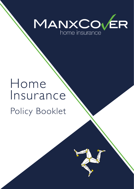

# Home Insurance Policy Booklet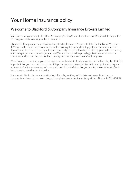# Your Home Insurance policy

### Welcome to Blackford & Company Insurance Brokers Limited

We'd like to welcome you to Blackford & Company's 'ManxCover Home Insurance Policy' and thank you for choosing us to take care of your home insurance.

Blackford & Company are a professional, long standing Insurance Broker, established in the Isle of Man since 1991, who offer experienced local advice and service right on your doorstep, just when you need it. Our 'ManxCover Home Policy' has been designed specifically for Isle of Man homes offering great value for money with real quality benefits included as standard.We are committed to providing a first class service to our customers and you can help us do this by letting us know if you are dissatisfied in any way.

Conditions and cover that apply to the policy and in the event of a claim are set out in this policy booklet. It is important that you take the time to read this policy document in conjunction with your policy wording, your statement of fact, your summary of cover and cover limits leaflet so that you are fully aware of 'what is' and 'what is not' covered under the policy.

If you would like to discuss any details about this policy or if any of the information contained in your documents are incorrect or have changed then please contact us immediately at the office on 01624 832042.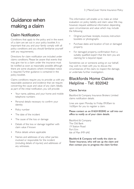# Guidance when making a claim

### Claim Notification

Conditions that apply to the policy and in the event of a claim are set out in your policy booklet. It is important that you and your family comply with all policy conditions and you should familiarise yourself with any requirements.

Directions for claim notification are included under claims conditions. Please be aware that events that may give rise to a claim under the insurance must be notified as soon as reasonably possible although there are some situations where immediate notice is required. Further guidance is contained in the policy booklet.

Claims conditions require you to provide us with any reasonable assistance and evidence that we require concerning the cause and value of any claim. Ideally, as part of the initial notification, you will provide:

- Your name, address, and your home and mobile telephone numbers
- Personal details necessary to confirm your identity
- Policy number
- The date of the incident
- The cause of the loss or damage
- Details of the loss or damage together with claim value if known
- Police details where applicable
- Names and addresses of any other parties involved or responsible for the incident (including details of injuries) and addresses of any witnesses.

This information will enable us to make an initial evaluation on policy liability and claim value.We may, however, request additional information depending upon circumstances and value which may include the following:

- Original purchase receipts, invoices, instruction booklets or photographs
- Purchase dates and location of lost or damaged property
- For damaged property, confirmation from a suitably qualified expert that the item you are claiming for is beyond repair.

Sometimes we or someone acting on our behalf, may wish to meet with you to discuss the circumstances of the claim, to inspect the damage, or undertake further investigation.

### Blackfords Home Claims Helpline - Tel: 832042

### Claims Service

Blackford & Company Insurance Brokers Limited claims notification details.

Lines are open Monday to Friday 09.00am to 16.00pm for you to register a claim.

### Please contact us on 01624 832042 or call into our office to notify us of your claim details.

Blackford & Company The Old Bank 19 Station Road Port Erin Isle of Man IM9 6AE

Blackford & Company will notify the claim to Tower Insurance, who will set up the claim and then contact you to progress the claim further.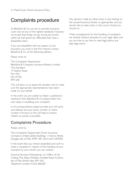# Complaints procedure

At Blackford & Co, we aim to provide insurance cover and service of the highest standards. However, we accept that things can go wrong and would rather be told about any difficulties than have a dissatisfied client.

If you are dissatisfied with any aspect of your insurance, you must in the first instance contact Blackford & Co at the following address;

Please write to:

The Complaints Department Blackford & Company Insurance Brokers Limited The Old Bank 19 Station Road Port Erin Isle of Man IM9 6AE

This will allow us to assess the situation and to make sure the appropriate representations have been made on your behalf.

In the event you are unable to obtain a satisfactory resolution from Blackford & Co, please follow the next steps in escalating your complaint.

In all correspondence please provide your full name and address and your policy number or claims number (if known) as this will help to resolve matters as quickly as possible.

### Complaints Procedure

Please write to:

The Complaints Department,Tower Insurance Company Limited, Jubilee Buildings, 1 Victoria Street, Douglas, Isle of Man, IM99 1BF (Tel: 01624 645900)

In the event that you remain dissatisfied and wish to make a complaint in respect of the handling of your insurance by your insurer you can contact:

Financial Services Ombudsman, c/o Office of Fair Trading,Thie Slieau Whallian, Foxdale Road, St Johns, Isle of Man, British Isles, IM4 3AS. Telephone number 01624 686500

Any decision made by either body is only binding on the insurer/insurance broker as appropriate, and you remain free to take action in the courts should you choose to.

These arrangements for the handling of complaints are entirely without prejudice to your legal rights and you are free at any time to seek legal advice and take legal action.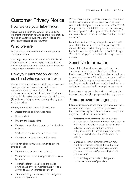# Customer Privacy Notice

### How we use your Information

Please read the following carefully as it contains important information relating to the details that you have given us.You should show this notice to any other party related to this insurance.

### Who we are

This product is underwritten by Tower Insurance Company Limited.

You are giving your information to Blackford & Co and or Tower Insurance Company Limited. In this information statement,'we''us' and 'our' refers to the Group unless otherwise stated.

### How your information will be used and who we share it with

Your information comprises of all the details we hold about you and your transactions and includes information obtained from third parties. If you contact us electronically, we may collect your electronic information identifier e.g. Internet Protocol (IP) address or telephone number supplied by your service provider.

We may use and share your information to:

- Assess financial and insurance risks;
- Recover debt:
- Prevent and detect crime:
- Develop our services, systems and relationships with you;
- Understand our customers' requirements:
- Develop and test products and services.

We do not disclose your information to anyone outside except:

- Where we have your permission; or
- Where we are required or permitted to do so by law; or
- To credit reference and fraud prevention agencies and other companies that provide a service to us, our partners or you; or
- Where we may transfer rights and obligations under this agreement.

We may transfer your information to other countries on the basis that anyone we pass it to, provides an adequate level of protection. In such cases, Blackford & Company will ensure it is kept securely and used only for the purpose for which you provided it. Details of the companies and countries involved can be provided on request.

From time to time we may change the way we use your information.Where we believe you may not reasonably expect such a change we shall write to you. If you do not object, you will consent to that change. We will not keep your information for longer than is necessary.

### Sensitive Information

Some of the information we ask you for may be sensitive personal data, as defined by the Data Protection Act 2002 (such as information about health or criminal convictions).We will not use such sensitive personal data about you or others except for the specific purpose for which you provide it and to carry out the services described in your policy documents.

Please ensure that you only provide us with sensitive information about other people with their agreement.

### Fraud prevention agencies

If false or inaccurate information is provided and fraud is identified or suspected, details may be passed to fraud prevention agencies. Law enforcement agencies may access and use this information.:

- Performance of contract: We need to use your personal information in order to provide you with the policy (which is a contract of insurance between you and us), and perform our obligations under it (such as making payments to you in respect of a claim made under the policy).
- **Consent:** In certain circumstances, we may need your consent unless authorised by law in order to use personal information about you which is classed as 'special categories of personal data'.

For marketing, you will always be given a choice over the use of your data.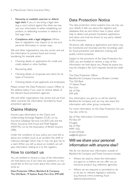- Necessity to establish, exercise or defend legal claim: If you, or we, bring a legal claim (e.g. a court action) against the other, we may use your information in either establishing our position, or defending ourselves in relation to that legal claim.
- Compliance with a legal obligation: Where laws or regulations may require us to use your personal information in certain ways.

We and other organisations may also access and use this information to prevent fraud and money laundering, for example when:

- Checking details on applications for credit and credit related or other facilities;
- Recovering debt;
- Checking details on proposals and claims for all types of insurance;
- Checking details of job applicants and employees.

Please contact the Data Protection Liaison Officer at the address below if you want to receive details of the relevant fraud prevention agencies.

We and other organisations may access and use from other countries the information recorded by fraud prevention agencies.

### Claims History

Insurers pass information to the Claims and Underwriting Exchange Register (CUE) run by Insurance Database Services Ltd (IDS Ltd) and the Motor Insurance Anti-Fraud and Theft Register (MIAFTR), run by the Association of British Insurers (ABI).

Under the conditions of your policy, you must tell us about any incident (such as an accident, fire, theft or malicious damage) which may or may not give rise to a claim.When you tell us about an incident, we will pass information relating to it to the registers.

### How to contact us

You are entitled to receive a copy of the information we hold about you. If you have any questions, or you would like to find out more about this notice you can write to:

Data Protection Officer, Blackford & Company, The Old Bank, 19 Station Road, Port Erin, IM9 6AE

### Data Protection Notice

This data protection notice explains how we may use your details. It tells you about the registers and databases that we and others have in place, which help to detect and prevent fraudulent applications and claims and must be shown to any party related to this insurance.

All phone calls relating to applications and claims may be monitored and recorded and the recordings used for fraud prevention and detection, training and quality control purposes.

Subject to the provisions of the Data Protection Act 2002, you are entitled to receive a copy of the information we hold about you. Please be aware you may be charged a fee. Such requests should be made to;

The Data Protection Officer Blackford & Company Insurance Brokers Limited The Old Bank 19 Station Road Port Erin Isle of Man IM9 6AE

Any information you give to us will be used by Blackford & Company and we may also share this information with other group companies.

For more information on the Data Protection Act you may also write to;

Isle of Man Information Commissioner PO Box 69 Douglas Isle of Man IM99 1EQ 01624 693260 ask@inforights.im

### Will we share your personal information with anyone else?

We do not disclose your information outside of Blackford & Company and Tower Insurance except:

- Where we need to check the information you gave to us before we can offer you an insurance product (e.g. reference agencies);
- Where we are required or permitted to do so by law or relevant regulatory authority (e.g. financial crime screening, fraud detection/prevention);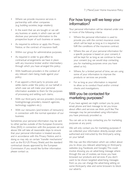- Where we provide insurance services in partnership with other companies (e.g. building societies, large retailers);
- In the event that we are bought or we sell any business or assets, in which case we will disclose your personal information to the prospective buyer of such business or assets;
- As required to enforce or apply this Privacy Notice, or the contract of insurance itself;
- Within our group for administrative purposes;
- As required in order to give effect to contractual arrangements we have in place with any insurance broker and/or intermediary through which you have arranged this policy;
- With healthcare providers in the context of any relevant claim being made against your policy;
- If we appoint a third party to process and settle claims under the policy on our behalf, in which case we will make your personal information available to them for the purposes of processing and settling such claims;
- With our third party service providers (including hosting/storage providers, research agencies, technology suppliers etc.);
- With our reinsurers (and brokers of reinsurers) in connection with the normal operation of our business;

Sometimes your personal information may be sent to other parties outside of the European Economic Area (EEA) in connection with the purposes set out above.We will take all reasonable steps to ensure that your personal information is treated securely and in accordance with this Privacy Notice, and in doing so may rely on certain "transfer mechanisms" such as the EU-US Privacy Shield, and the standard contractual clauses approved by the European Commission. If you would like further information please contact us.

### For how long will we keep your information?

Your personal information will be retained under one or more of the following criteria:

- Where the personal information is used to provide you with the correct insurance cover, which will be kept as long as it is required to fulfil the conditions of the insurance contract.
- Where the use of your personal information for a specific purpose is based on your consent, it will be kept for as long as we continue to have your consent (e.g. we would stop contacting you for marketing purposes once you have asked us to).
- Where, for a limited period of time, we are using some of your information to improve the products or services we provide.
- For as long as your information is required to allow us to conduct fraud and/or criminal checks and investigations.

### Will you be contacted for marketing purposes?

If you have agreed, we might contact you by post, email, phone and text message to let you know about offers and services we think you'll like.The messages may be personalised using information you have previously provided us.

You can ask us to stop contacting you for marketing purposes at any point.

We will only contact you for marketing purposes if we collected your information directly, except when authorised and instructed by the third-party acting on your behalf.

We may use the information which we collect about you to show you relevant advertising on third-party websites (e.g. Facebook, and Google).This could involve showing you an advertising message where through the use of cookies, we know you have browsed our products and services. If you don't want to be shown targeted advertising messages from us, you can change the advertising setting on some third-party sites and some browsers to block our adverts.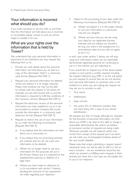### Your information is incorrect what should you do?

If you hold a product or service with us and think that the information we hold about you is incorrect or incomplete, please contact us and we will be happy to update it for you.

### What are your rights over the information that is held by Tower?

We understand that your personal information is important to you, therefore you may request the following from us to:

- 1 Provide you with details about the personal information we hold about you, as well as a copy of the information itself in a commonly used format. [Request Ref: DSR 1]
- 2 Request your personal information be deleted where you believe it is no longer required. Please note however, we may not be able to comply with this request in full where, for example, you are still insured with us and the information is required to fulfil the conditions of the insurance contract. [Request Ref: DSR 2]
- 3 Request the electronic version of the personal information you have supplied to us, so it can be provided to another company.We would provide the information in a commonly used electronic format. [Request Ref: DSR 3]
- Request to restrict the use of your information by us, under the following circumstances [Request Ref: DSR 4]:
	- a) If you believe that the information we hold about you is inaccurate, or;
	- b) If you believe that our processing activities are unlawful and you do not want your information to be deleted.
	- c) Where we no longer need to use your information for the purposes set out in this Privacy Notice, but it is required for the establishment, exercise or defence of a legal claim.
	- d) Where you have made an objection to us (in accordance with section 5 below), pending the outcome of any assessment we make regarding your objection.
- 5 Object to the processing of your data under the following circumstances [Request Ref: DSR 5]:
	- a) Where we believe it is in the public interest to use your information in a particular way, but you disagree.
	- b) Where we have told you we are using your data for our legitimate business interests and you believe we shouldn't be (e.g. you were in the background of a promotional video but you did not agree to be in it.)

In each case under section 5 above, we will stop using your information unless we can reasonably demonstrate legitimate grounds for continuing to use it in the manner you are objecting to.

If you would like to request any of the above, please contact us and submit a written request, including the request reference (e.g. DSR 1), as this will speed up your request.To ensure that we do not disclose your personal information to someone who is not entitled to it, when you are making the request we may ask you to provide us with:

- Your name;
- Address(es);
- Date of birth:
- Any policy IDs or reference numbers that you have along with a copy of your photo identification.

All requests are free of charge, although for requests for the provision of personal information we hold about you (DSR1) we reserve the right to charge a reasonable administrative fee where, we believe an excessive number of requests are being made. Wherever possible, we will respond within one month from receipt of the request, but if we don't, we will notify you of anticipated timelines ahead of the one month deadline.

Please note that simply submitting a request doesn't necessarily mean we will be able to fulfil it in full on every occasion – we are sometimes bound by law which can prevent us fulfilling some requests in their entirety, but when this is the case we will explain this to you in our response.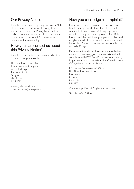### Our Privacy Notice

If you have any queries regarding our Privacy Notice please contact us and we will be happy to discuss any query with you. Our Privacy Notice will be updated from time to time so please check it each time you submit personal information to us or renew your insurance policy.

### How you can contact us about this Privacy Notice?

If you have any questions or comments about this Privacy Notice please contact:

The Data Protection Officer Tower Insurance Company Ltd Jubilee Buildings 1 Victoria Street Douglas Isle of Man IM99 1BF

You may also email us at tower.insurance@uk.rsagroup.com

### How you can lodge a complaint?

If you wish to raise a complaint on how we have handled your personal information, please send an email to tower.insurance@uk.rsagroup.com or write to us using the address provided. Our Data Protection Officer will investigate your complaint and will give you additional information about how it will be handled.We aim to respond in a reasonable time, normally 30 days.

If you are not satisfied with our response or believe we are not processing your personal information in compliance with IOM Data Protection laws, you may lodge a complaint to the Information Commissioner's Office, whose contact details are;

Information Commissioner's Office First Floor, Prospect House Prospect Hill Douglas Isle of Man IM1 1ET

Website: https://www.inforights.im/contact-us/

Tel: +44 1624 693260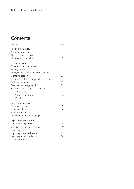# **Contents**

### Section Page Policy information About your policy 11<br>The insurance contract 11 The insurance contract 11<br>
How to make a claim 12 How to make a claim Policy sections Emergency assistance section 13 Buildings section 15 Trees, shrubs, plants and lawns section 21<br>Contents section 23 Contents section Students' contents and pedal cycles section 31 Business use section 33<br>Personal belongings section: 35 Personal belongings section: 1. Personal belongings, money and credit cards 35<br>Sports equipment 36 2. Sports equipment 36<br>3. Pedal cycles 37 3. Pedal cycles Policy information Claim conditions 39 Policy conditions 40 Policy exclusions 42 Words with special meanings 43 Legal expenses section Glossary of legal terms 49 Words with special meanings 60 Legal expenses policy 51<br>
Legal expenses exclusions 55 Legal expenses exclusions Legal expenses conditions 56<br>
Claims settlement 57 Claims settlement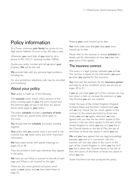# Policy information

As a Tower customer, your family has access to our legal advice helpline 24 hours a day, 365 days a year.

Whenever you need help, all you need to do is phone 01455 255121 (quoting number 33896).

Quote your policy number and tell us about your problem. We will do the rest.

We provide help with any personal legal problems, including tax.

For your protection, telephone calls may be recorded and monitored.

### About your policy

Your policy is made up of the following.

The schedule which shows which sections of the policy wording apply to you, the sums insured and the premium you will pay. It will show any special terms which apply to your policy.

The policy schedule includes a summary of limits which shows any special limits which apply to the cover.

You should read the schedule and policy wording together.

Your policy tells you exactly what is and what is not covered, how we settle claims and other important information.

We have listed words with special meanings on pages 43 to 48.

They are printed in bold type whenever they appear in the policy.

We have set out 'What is covered' to the left of each page and 'What is not covered' to the right.

There are also some general exclusions which apply to your policy and we have listed these on page 42.

Keeping your sums insured up to date.

You must make sure that you keep your sums insured up to date.

Please refer to the renewal or review schedule for details and for information on how we index link your policy, if this applies.

### The insurance contract

This policy is a legal contract between you and us. The contract is based on the information you gave us when you applied for the insurance.

You must pay the premium for the insurance period and keep to all the conditions which are set out on pages 40 to 41.

If you do not meet your part of the contract, we may turn down a claim or increase the premium, or you may find that you are not covered.

Under the laws of the United Kingdom (England, Scotland, Wales and Northern Ireland) both you and we may choose the law which applies to this contract, to the extent permitted by those laws. Unless you and we agree otherwise, we have agreed with you that the law which applies to this contract is the law which applies to the part of the United Kingdom in which you live, or, if you live in the Channel Islands or the Isle of Man, the law of whichever of those two places in which you live.

We and you have agreed that any legal proceedings between you and us in connection with this contract will only take place in the courts of the part of the United Kingdom in which you live, or, if you live in either the Channel Islands or the Isle of Man, the courts of whichever of those two places in which you live.

Tower Insurance Ltd have produced this policy.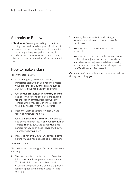### Authority to Renew

If Blackford & Company are willing to continue providing cover and we advise you beforehand of our renewal terms, you authorise us to renew this policy and any subsequent policy on expiry, in accordance with our renewal terms at that time, unless you advise us otherwise before the renewal date.

### How to make a claim

Follow the steps below.

- I In an emergency, you should take any immediate action which you need to protect your property from further damage, such as switching off the gas, electricity and water.
- 2 Check your schedule, your summary of limits and policy wording to see if you are covered for the loss or damage. Read carefully any conditions that may apply and the sections in the policy headed 'What is not covered'.
- 3 Read the 'Claim conditions' on page 39 and follow any instructions given.
- 4 Contact Blackford & Company at the address and phone number shown on your schedule or contact us on 832042 and quote your policy number for advice on policy cover and how to go ahead with your claim.
- 5 Please do not throw away any damaged items before we have had a chance to inspect them.

#### What we will do

(This will depend on the type of claim and the value involved).

We may be able to settle the claim from the information you have given on your claim form. This is why it is important to keep receipts, valuations and photographs of more expensive items to speed up the time it takes to settle the claim.

- You may be able to start repairs straight away but you will need to get estimates for repairs first.
- 3 We may need to contact you for more information.
- 4 We may need to send a member of our claims staff or a loss adjuster to find out more about your claim. A loss adjuster specialises in dealing with insurance claims. He or she will report to us. We will pay any fee involved.

Our claims staff take pride in their service and will do all they can to help you.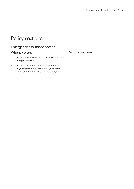# Policy sections

### Emergency assistance section

### What is covered

What is not covered

- A We will provide cover up to the limit of  $£250$  for emergency repairs.
- B We will arrange for overnight accommodation for your family if we accept that your home cannot be lived in because of the emergency.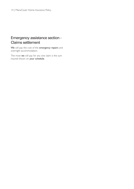### Emergency assistance section - Claims settlement

We will pay the cost of the emergency repairs and overnight accommodation.

The most we will pay for any one claim is the sum insured shown on your schedule.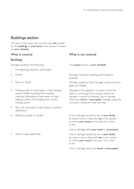### Buildings section

This part of the policy sets out the cover we provide for the buildings of your home if this section is shown on your schedule.

### What is covered

### Buildings

Damage caused by the following.

- 1 Fire, lightning, explosion, earthquake.
- 2 Smoke.
- 3 Storm or flood.
- 4 Freezing water in fixed water or fixed heating systems.Water escaping from washing machines, dishwashers, fixed water or fixed heating systems. Oil escaping from a fixed heating system.
- 5 Riot, civil commotion, strike, labour or political disturbance.
- 6 Malicious people or vandals.
- 7 Theft or attempted theft.

### What is not covered

The excess shown in your schedule.

Damage caused by anything which happens gradually.

Damage caused by frost. Damage caused to fences, gates and hedges.

Damage to the appliance or system which the water or oil escapes from, except where the damage is caused by freezing. Loss or damage while your home is unoccupied. Damage caused by corrosion, rusting and wear and tear.

Loss or damage caused by any of your family, by anyone who is living with you or by anyone to whom your home or any part of it is lent or let.

Loss or damage while your home is unoccupied.

Loss or damage caused by any of your family, by anyone who is living with you or by anyone to whom your home or any part of it is lent or let.

Loss or damage while your home is unoccupied.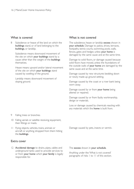Subsidence or heave of the land on which the buildings stand, or of land belonging to the buildings, or landslip.

Subsidence means downward movement of the site on which your buildings stand by a cause other than the weight of the buildings themselves.

Heave means upward and/or lateral movement of the site on which your buildings stand caused by swelling of the ground.

Landslip means downward movement of sloping ground.

#### What is not covered

The subsidence, heave or landslip excess shown in your schedule. Damage to patios, drives, terraces, footpaths, tennis courts, swimming pools, walls, fences, gates and hedges unless your home is damaged by the same cause and at the same time.

Damage to solid floors, or damage caused because solid floors have moved, unless the foundations of the outside walls of your home are damaged by the same cause and at the same time.

Damage caused by new structures bedding down or newly made-up ground settling.

Damage caused by the coast or a river bank being worn away.

Damage caused by or from your home being altered or repaired.

Damage caused by or from faulty workmanship, design or materials.

Loss or damage caused by chemicals reacting with any materials which the **home** is built from.

- 9 Falling trees or branches.
- 10 Falling aerials or satellite receiving equipment, their fittings or masts.
- 11 Flying objects, vehicles, trains, animals or aircraft or anything dropped from them hitting the buildings.

### Extra cover

12 Accidental damage to drains, pipes, cables and underground tanks used to provide services to or from your home which your family is legally responsible for.

Damage caused by pets, insects or vermin.

#### The excess shown in your schedule.

Anything under the 'What is not covered' paragraphs of risks 1 to 11 of this section.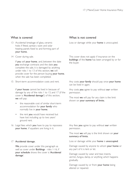- 13 Accidental breakage of glass, ceramic hobs if fitted, sanitary ware and solar heating panels fixed to and forming part of your home.
- 14 Cover during sale.

If you sell your home. and, between the date you exchange contracts and the date you complete the sale, it is damaged by anything under risks 1 to 13 of this section, we will provide cover for the person buying your home. when the sale has been completed.

15 Short-term accommodation costs and rent.

If your house cannot be lived in because of damage by any of the risks 1 to 13, and 17 (if the cover is 'Accidental damage') of this section, we will pay:

- the reasonable cost of similar short-term accommodation for your family who normally live in your home;
- the rent you would have received but have lost including up to two years' ground rent.
- 16 Legal fees which you have to pay to repossess your home. if squatters are living in it.

#### 17 Accidental damage.

We provide cover under this paragraph as well as cover under **Buildings** - risks 1-16, if your schedule shows the cover is 'Accidental damage'.

### What is not covered

Loss or damage while your home is unoccupied.

This cover does not apply if insurance on the buildings of the home has been arranged by or for the buyer.

Any costs your family should pay once your home can be lived in again.

Any costs you agree to pay without our written permission.

The most we will pay for any claim is the limit shown on your summary of limits.

Any fees you agree to pay without our written permission.

The most we will pay is the limit shown on your summary of limits.

Loss or damage while your home is unoccupied.

Damage caused by anyone to whom your home or any part of it is lent or let.

Damage caused by wear and tear, insects, vermin, fungus, damp, or anything which happens gradually.

Damage caused by or from your home being altered or repaired.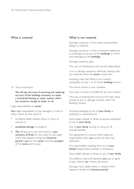### 18 Trace and Access.

We will pay the cost of removing and replacing any part of the buildings necessary to repair a household heating or water system, which has caused an escape of water or oil.

Legal responsibilities as owner.

Your legal responsibility to pay damages or costs to others which are the result of:

- accidental death, disease, illness or injury to anyone; or
- accidental damage to property.
- A We will pay up to the limit shown in your summary of limits for this cover for any single event that happens during any insurance period if you are the owner (not the occupier) of the home and its land.

#### What is not covered

Damage caused by or from faulty workmanship, design or materials.

Damage caused by or from movement, settlement or shrinkage of any part of the buildings or of the land belonging to the **buildings**.

Damage caused by pets.

The cost of maintenance and normal redecoration.

Loss or damage caused by chemicals reacting with any materials which the home is built from.

Anything under the 'What is not covered' paragraphs of risks 1 to 16 of the buildings section.

The excess shown in your schedule.

Any costs in excess of £5,000 for any one incident.

The cost of repairing the source of the leak unless caused by loss or damage covered under The Buildings Section.

Anything belonging to any of your family or anything it is responsible for.

Injury, death, disease or illness to anyone employed by any of your family.

Any of your family owning or using any lift (except stairlifts).

Any agreement or contract which adds any responsibility which you would not have had otherwise.

Any responsibility resulting from any of your family's employment, business or profession.

Injury, death, disease or illness to any of your family

Any defence costs and expenses you pay or agree to pay without our written permission.

Damage, injury, death, illness or disease which happens outside any insurance period.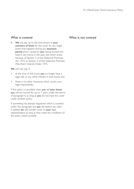B We will pay up to the limit shown in your summary of limits for this cover for any single event that happens during any insurance period and is caused by you having owned and lived in any home in the past, and which arises because of Section 3 of the Defective Premises Act 1972 or Section 5 of the Defective Premises (Northern Ireland) Order 1975.

We will only pay if:

- at the time of the event, you no longer have a legal title or any other interest in that home; and
- there is no other insurance which covers your legal responsibility.

If this policy is cancelled when you sell your home, you will be insured for up to 7 years under the terms of paragraph b, as long as you do not have this cover under another policy.

If something has already happened which is covered under this paragraph, but you die before any claim is settled, we will transfer cover to your legal representative as long as they meet the conditions of the policy where possible.

### What is not covered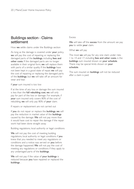### Buildings section - Claims settlement

How we settle claims under the Buildings section

As long as the damage is covered under your policy, we will pay the cost of repairing or replacing the damaged parts of the buildings, including fees and other costs. If the damaged parts are no longer available in their original form, we will replace them with parts of a similar quality. If the **buildings** have not been kept in a good state of repair, we will pay the cost of repairing or replacing the damaged parts of the buildings, but we will take off an amount for wear and tear.

If your sum insured is too low

If at the time of any loss or damage the sum insured is less than the full rebuilding cost, we will only pay for part of the loss or damage. For example, if your sum insured only covers 80% of the cost of rebuilding, we will only pay 80% of your claim.

If repairs or replacement are not carried out

If you do not repair or replace the buildings, we will pay the reduction in market value of the **buildings** caused by the damage. We will not pay more than it would have cost to repair the damage if the repair work had been done straight away.

Building regulations, local authority or legal conditions

We will not pay the cost of meeting building regulations, local authority or legal conditions if you knew that you needed to meet any regulations or conditions and a notice was served on you before the damage happened. We will not pay the cost of meeting any regulations or conditions if they apply to any undamaged parts of the buildings.

We will not pay if the value of your buildings is reduced because you have repaired or replaced the buildings .

#### Excess

We will take off the excess from the amount we pay you to settle your claim.

What we will pay

The most we will pay for any one claim under risks 1 to 14 and 17, including fees and other costs, is the buildings sum insured shown on your schedule. There may be special limits shown on your schedule.

The sum insured on **buildings** will not be reduced after a claim is paid.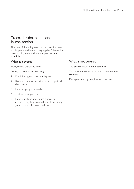### Trees, shrubs, plants and lawns section

This part of the policy sets out the cover for trees, shrubs, plants and lawns. It only applies if the section trees, shrubs, plants and lawns appears on your schedule.

### What is covered

Trees, shrubs, plants and lawns

Damage caused by the following.

- 1 Fire, lightning, explosion, earthquake.
- 2 Riot, civil commotion, strike, labour or political disturbance.
- 3 Malicious people or vandals.
- 4 Theft or attempted theft.
- 5 Flying objects, vehicles, trains, animals or aircraft or anything dropped from them hitting your trees, shrubs, plants and lawns.

### What is not covered

The excess shown in your schedule.

The most we will pay is the limit shown on your schedule.

Damage caused by pets, insects or vermin.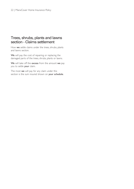### Trees, shrubs, plants and lawns section - Claims settlement

How we settle claims under the trees, shrubs, plants and lawns section.

We will pay the cost of repairing or replacing the damaged parts of the trees, shrubs, plants or lawns.

We will take off the excess from the amount we pay you to settle your claim.

The most we will pay for any claim under this section is the sum insured shown on your schedule.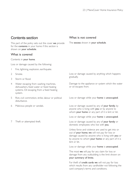### Contents section

This part of the policy sets out the cover we provide for the contents in your home if this section is shown on your schedule.

### What is covered

#### Contents in your home.

Loss or damage caused by the following:

- 1 Fire, lightning, explosion, earthquake.
- 2 Smoke.
- 3 Storm or flood.
- 4 Water escaping from washing machines, dishwashers, fixed water or fixed heating systems. Oil escaping from a fixed heating system.
- 5 Riot, civil commotion, strike, labour or political disturbance.
- 6 Malicious people or vandals.
- 7 Theft or attempted theft.

### What is not covered

The excess shown in your schedule.

Loss or damage caused by anything which happens gradually.

Damage to the appliance or system which the water or oil escapes from.

Loss or damage while your home is unoccupied.

Loss or damage caused by any of your family, by anyone who is living with you or by anyone to whom your home or any part of it is lent or let.

Loss or damage while your home is unoccupied.

Loss or damage caused by any of your family or domestic employees who live with you.

Unless force and violence are used to get into or out of your home, we will not pay for loss or damage caused by anyone who is living with you or by anyone to whom your home or any part of it is lent or let.

Loss or damage while your home is unoccupied.

The most we will pay for any claim for loss or damage from any outbuilding is the limit shown on your summary of limits.

For theft of credit cards we will not pay for loss which results from any cardholder not following the card company's terms and conditions.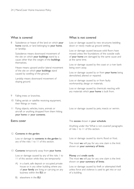Subsidence or heave of the land on which your home stands, or land belonging to your home, or landslip.

Subsidence means downward movement of the site on which your buildings stand by a cause other than the weight of the buildings themselves.

Heave means upward and/or lateral movement of the site on which your buildings stand caused by swelling of the ground.

Landslip means downward movement of sloping ground.

- Falling trees or branches.
- 10 Falling aerials or satellite receiving equipment, their fittings or masts.
- 11 Flying objects, vehicles, trains, animals or aircraft or anything dropped from them hitting your home or your contents.

### Extra cover

#### 12 Contents in the garden.

Loss or damage to contents in the garden by any of the risks 1 to 11 of this section.

#### 13 Contents temporarily away from your home.

Loss or damage caused by any of the risks 1 to 11 of this section while they are temporarily:

A) in a bank, safe deposit or occupied private house or in any other building where any of your family are living or carrying on any business within the EU; or

### What is not covered

Loss or damage caused by new structures bedding down or newly made-up ground settling.

Loss or damage caused because solid floors have moved unless the foundations of the outside walls of your home are damaged by the same cause and at the same time.

Loss or damage caused by the coast or a river bank being worn away.

Loss or damage caused by or from your home being demolished, altered or repaired.

Loss or damage caused by or from faulty workmanship, design or materials.

Loss or damage caused by chemicals reacting with any materials which your home is built from.

Loss or damage caused by pets, insects or vermin.

#### The excess shown in your schedule.

Anything under the 'What is not covered' paragraphs of risks 1 to 11 of this section.

Loss or damage caused by storm, flood or frost.

The most we will pay for any one claim is the limit shown on your summary of limits.

#### Money and credit cards.

The most we will pay for any one claim is the limit shown on your summary of limits.

Loss or damage caused by theft or attempted theft unless force and violence is used to get into or out of a building.

B) elsewhere in the EU.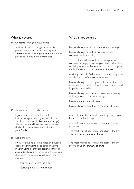#### 14 Contents when you move home.

Accidental loss or damage caused while a professional removal firm is moving your contents by road from your home to another permanent home in the British Isles.

15 Short-term accommodation costs.

If your home cannot be lived in because of loss or damage caused by any of risks 1 to 11, and 26 (if the cover is 'Accidental damage') of this section, we will pay the reasonable cost of similar short-term accommodation for your family.

16 Locks and keys.

If you lose the keys to the inside and outside doors of your home or to safes or alarms in your home or they are stolen, or there is accidental damage to the locks of the outside doors, safes or alarms, we will either pay the cost of:

- changing parts of the locks; or
- replacing the locks, if we choose.

### What is not covered

Loss or damage while the contents are in storage.

Loss or damage caused by storm or flood to contents not in a building.

The most we will pay for loss or damage caused to contents belonging to any of your family while they are living away from home at university or college is the limit shown on your summary of limits.

Anything under the 'What is not covered' paragraphs of risks 1 to 11 of the contents section.

Loss or damage to china, glass, pottery or other items which are brittle unless they have been packed by professional packers.

Loss or damage while your contents are in storage or being moved to or from storage.

Loss of money and credit cards.

Loss or damage caused by damp, vermin, fungus.

Any costs your family would have to pay once your home can be lived in again.

Any costs you agree to pay without our written permission.

The most we will pay for any one claim is the limit shown on your summary of limits.

The most we will pay for any one claim is the limit shown on your summary of limits.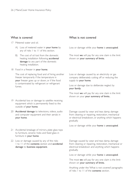#### 17 Metered water and oil.

- A) Loss of metered water in your home by any of risks 1 to 11 of this section.
- B) The cost of oil lost from the domestic heating installation following accidental damage to any part of the domestic heating installation.
- 18 Food in a freezer in your home.

The cost of replacing food and of hiring another freezer temporarily if the temperature in your freezer goes up or down, or if the food is contaminated by refrigerant or refrigerant fumes.

- 19 Accidental loss or damage to satellite receiving equipment which is permanently fixed to the outside of your home.
- 20 **Accidental damage** to televisions, videos, audio and computer equipment and their aerials in your home.
- 21 Accidental breakage of mirrors, plate glass tops to furniture, ceramic hobs and fixed glass in furniture in your home.
- 22 Loss or damage caused by any of the risks 1 to 11 of the contents section and accidental damage to business equipment.

### What is not covered

Loss or damage while your home is unoccupied.

The most we will pay for any one claim is the limit shown on your summary of limits.

Loss or damage caused by an electricity or gas company deliberately cutting off or reducing the supply to your home.

Loss or damage due to deliberate neglect by your family.

The most we will pay for any one claim is the limit shown on your your summary of limits..

Damage caused by wear and tear, damp, damage from cleaning or repairing, restoration, mechanical or electrical breakdown, or anything which happens gradually.

Loss or damage while your home is unoccupied.

Damage caused by wear and tear, damp, damage from cleaning or repairing, restoration, mechanical or electrical breakdown and anything which happens gradually.

Loss or damage while your home is unoccupied.

The most we will pay for any one claim is the limit shown on your summary of limits.

Anything under the 'What is not covered' paragraphs of risks 1 to 11 of the contents section.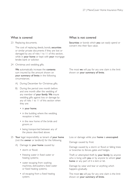#### 23 Replacing documents.

The cost of replacing deeds, bonds, securities or similar private documents if they are lost or damaged by any of risks 1 to 11 of this section, while in your home or kept with your mortgage lender, bank or solicitor.

24 Christmas and wedding gifts.

We automatically increase the contents sum insured by the amount shown on your summary of limits in the following circumstances.

- A) During December for Christmas gifts.
- B) During the period one month before and one month after the wedding of any member of your family. We insure wedding gifts against loss or damage by any of risks 1 to 11 of this section when they are:
	- in your home;
	- in the building where the wedding reception is held;
	- in the new home of the bride and groom; or
	- being transported between any of the places described above.
- 25 Your legal responsibility as tenant of your home (not the owner or landlord) for the following.
	- A) Damage to your home caused by:
		- storm or flood:
		- freezing water in fixed water or heating systems;
		- water escaping from washing machines, dishwashers, fixed water or fixed heating systems;
		- oil escaping from a fixed heating system;

### What is not covered

Securities or bonds which you can easily spend or convert into their face value.

The most we will pay for any one claim is the limit shown on your summary of limits.

Loss or damage while your home is unoccupied.

Damage caused by frost.

Damage caused by a storm or flood or falling trees or branches to fences, gates and hedges.

Theft or attempted theft by **your family**, by anyone who is living with you or by anyone to whom your home or any part of it is lent or let.

Damage by wear and tear or anything which happens gradually.

The most we will pay for any one claim is the limit shown on your summary of limits.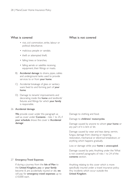- riot, civil commotion, strike, labour or political disturbance;
- malicious people or vandals;
- theft or attempted theft;
- falling trees or branches;
- falling aerials or satellite receiving equipment, their fittings or masts.
- B) Accidental damage to drains, pipes, cables and underground tanks used to provide services to or from your home.
- C) Accidental breakage of glass or sanitary ware fixed to and forming part of your home.
- D) Damage to tenants' improvements and decorating inside the home and landlords' fixtures and fittings for which your family is responsible.

#### 26 Accidental damage.

We provide cover under this paragraph as well as cover under **Contents** - risks 1 to 25, if your schedule shows the cover is 'Accidental damage'.

#### 27 Emergency Travel Expenses.

If during a journey from the Isle of Man to the United Kingdom, you or your family become ill, are accidentally injured or die, we will pay for **emergency travel expenses** up to £10,000 each.

### What is not covered

Damage to clothing and food.

#### Damage to childrens' motorcycles.

Damage caused by anyone to whom your home or any part of it is lent or let.

Damage caused by wear and tear, damp, vermin, fungus, damage from cleaning or repairing, restoration, mechanical or electrical breakdown, or anything which happens gradually.

Loss or damage while your home is unoccupied.

Damage caused by pets. Anything under the 'What is not covered' paragraphs of risks 1 to 24 of the contents section.

Anything relating to this cover which is more specifically insured under a travel insurance policy. Any incidents which occur outside the United Kingdom.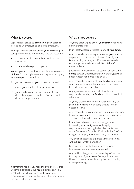Legal responsibilities as occupier, in your personal life and as an employer to domestic employees.

The legal responsibility of any of your family to pay damages or costs to others which are the result of:

- accidental death, disease, illness or injury to anyone; or
- accidental damage to property.

We will pay up to the limit shown in your summary of limits for any single event that happens during any insurance period caused by:

- A you as occupier of your home and its land;
- B any of your family in their personal life; or
- C your family as an employer to any of your domestic employees, in the EU or worldwide during a temporary visit.

#### If something has already happened which is covered under this paragraph but you die before any claim is settled, we will transfer cover to your legal representative as long as they meet the conditions of the policy where possible.

### What is not covered

Anything belonging to any of your family or anything it is responsible for.

Injury, death, disease or illness to any of your family.

Any responsibility resulting from any of your family's employment, business or profession. Any of your family owning or using any lift, motorised vehicle (except garden machinery, stairlifts, childrens' motorcycles and

pedestrian-controlled vehicles used in or about the home), caravans, trailers, aircraft, hovercraft, jetskis or boats (except hand-propelled boats).

Any responsibility to any of your family's employees which you need compulsory insurance or security for under any road traffic law.

Any agreement or contract which adds any responsibility which your family would not have had otherwise.

Anything caused directly or indirectly from any of your family passing on or being treated for any disease or virus.

Any responsibility as an employer to anyone employed by any of your family in any business or profession. This does not include domestic employees.

Injury, death, disease, illness or damage caused by any dog your family owns or is legally responsible for if the dog is described in Section 1 of the Dangerous Dogs Act 1991 or Article 3 of the Dangerous Dogs (Northern Ireland) Order 1991.

Any defence costs and expenses you agree to pay without our written permission.

Damage, injury, death, illness or disease which happens outside any insurance period.

Any liability arising from the ownership of land not forming part of your home. Damage, injury, death, illness or disease caused by using horses for racing or steeplechasing.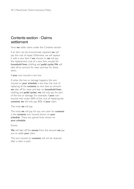### Contents section - Claims settlement

How we settle claims under the Contents section

If an item can be economically repaired, we will pay the cost of repair. Otherwise, we will replace it with a new item if we choose, or we will pay the replacement cost of a new item, except for household linen, clothing and pedal cycles.We will take off an amount for wear and tear for these items.

If your sum insured is too low

If, when the loss or damage happens, the sum insured on your schedule is less than the cost of replacing all the **contents** as new (less an amount we take off for wear and tear on household linen, clothing and pedal cycles), we will only pay for part of the loss or damage. For example, if your sum insured only covers 80% of the cost of replacing the contents, we will only pay 80% of your claim.

The most we will pay

The most we will pay for any one claim for contents is the contents sum insured shown on your schedule . There are special limits shown on your schedule.

#### Excess

We will take off the excess from the amount we pay you to settle your claim.

The sum insured on contents will not be reduced after a claim is paid.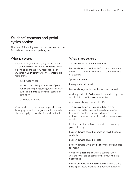### Students' contents and pedal cycles section

This part of the policy sets out the cover we provide for students' contents and pedal cycles.

### What is covered

- A Loss or damage caused by any of the risks I to 11 of the **contents** section to **contents** which belong to or are the legal responsibility of students in your family while the contents are temporarily:
	- in a private house;
	- in any other building where any of your family are living or studying, while they are away from home at university, college or school; or
	- elsewhere in the EU
- B Accidental loss of or damage to **pedal cycles** belonging to students in your family, or which they are legally responsible for, while in the EU.

### What is not covered

The excess shown in your schedule

Loss or damage caused by theft or attempted theft unless force and violence is used to get into or out of a building.

#### Sports equipment

#### Money and credit cards.

Loss or damage while your home is unoccupied.

Anything under the 'What is not covered' paragraphs of risks 1 to 11 of the contents section.

Any loss or damage outside the EU.

The excess shown in your schedule Loss or damage caused by wear and tear, damp, vermin, fungus, damage from cleaning, altering or repairing, restoration, mechanical or electrical breakdown, loss of value.

Customs or other official organisation confiscating your belongings.

Loss or damage caused by anything which happens gradually.

Loss or damage caused by pets.

Loss or damage while any pedal cycles is being used for racing.

When the **pedal cycles** are in a building where you are living, loss or damage while your home is unoccupied .

Loss of any unattended pedal cycles unless it is in a building or securely locked to a permanent fixture.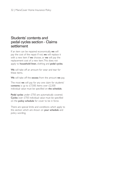### Students' contents and pedal cycles section - Claims settlement

If an item can be repaired economically, we will pay the cost of the repair. If not, we will replace it with a new item if we choose, or we will pay the replacement cost of a new item.This does not apply to household linen, clothing and pedal cycles.

We will take off an amount for wear and tear for these items.

We will take off the excess from the amount we pay.

The most we will pay for any one claim for students' contents is up to  $£7,500$ . Items over  $£2,500$ individual value must be specified on the schedule.

Pedal cycles under £750 are automatically covered. Cycles over £750 individual value must be specified on the policy schedule for cover to be in force.

There are special limits and conditions which apply to this section which are shown on your schedule and policy wording.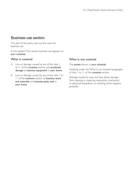### Business use section

This part of the policy sets out the cover for business use.

It only applies if the section business use appears on your schedule.

### What is covered

- A Loss or damage caused by any of the risks 1 to 11 of the contents section and accidental damage to business equipment in your home.
- B Loss or damage caused by any of the risks I to 11 of the contents section to business stock and materials and business petty cash in your home.

### What is not covered

The excess shown in your schedule.

Anything under the 'What is not covered' paragraphs of risks 1 to 11 of the contents section.

Damage caused by wear and tear, damp, damage from cleaning or repairing, restoration, mechanical or electrical breakdown, or anything which happens gradually.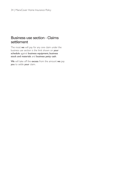### Business use section - Claims settlement

The most we will pay for any one claim under the business use section is the limit shown on your schedule against business equipment, business stock and materials and business petty cash.

We will take off the excess from the amount we pay you to settle your claim.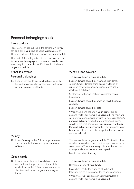### Personal belongings section

### Extra options

Pages 35 to 37 set out the extra options which you can take out if you have selected Contents cover. They are included if they are shown on **your schedule**.

This part of the policy sets out the cover we provide for personal belongings and money and credit cards in or away from your home, if this section is shown on your schedule.

### What is covered

### Personal belongings

IA Loss or damage to personal belongings in the EU and anywhere else for the time limit shown on your summary of limits.

### **Money**

1B Loss of money in the EU and anywhere else for the time limit shown on your summary of limits.

### Credit cards

1C Loss because the credit cards have been used without the permission of any of the cardholders in the EU and anywhere else for the time limit shown on your summary of limits.

### What is not covered

#### The excess shown in your schedule.

Loss or damage caused by wear and tear, damp, vermin, fungus, damage from cleaning, altering or repairing, renovation or restoration, mechanical or electrical breakdown.

Customs, or other official body confiscating your belongings.

Loss or damage caused by anything which happens gradually.

Loss or damage caused by pets.

When the belongings are in your home, loss or damage while your home is unoccupied.The most we will pay if someone steals or tries to steal your family's personal belongings whilst in an unattended motor vehicle is the limit shown on your summary of limits. Personal belongings permanently in any premises your family owns, leases or rents except the house shown on your schedule.

The excess shown in your schedule. Confiscation, loss of value or loss due to incorrect receipts, payments or accountancy.When the money is in your home, loss or damage while your home is unoccupied.

Loss in the value of money.

The excess shown in your schedule.

Illegal use by any of your family.

Loss which results from any cardholder not following the card company's terms and conditions.

When the credit cards are in your home, loss or damage while your home is unoccupied.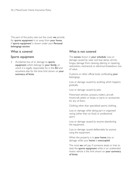This part of the policy sets out the cover we provide for sports equipment in or away from your home, if 'sports equipment' is shown under your Personal belongings section.

### What is covered

### Sports equipment

2 Accidental loss of or damage to sports equipment which belongs to your family, or which it is legally responsible for, in the EU and anywhere else for the time limit shown on your summary of limits.

### What is not covered

The excess shown in your schedule. Loss or damage caused by wear and tear, damp, vermin, fungus, damage from cleaning, altering or repairing, restoration, mechanical or electrical breakdown, loss of value.

Customs or other official body confiscating your belongings.

Loss or damage caused by anything which happens gradually.

Loss or damage caused by pets.

Motorised vehicles, caravans, trailers, aircraft, hovercraft, jetskis or boats, or parts or accessories for any of them.

Clothing other than specialised sports clothing.

Loss or damage while taking part in organised racing (other than on foot) or professional sport.

Loss or damage caused by anyone abandoning the equipment.

Loss or damage caused deliberately by anyone using the equipment.

When the property is in your home, loss or damage while your home is unoccupied.

The most we will pay if someone steals or tries to steal the sports equipment while in an unattended motor vehicle is the limit shown on your summary of limits.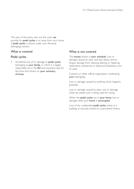This part of the policy sets out the cover we provide for **pedal cycles** in or away from your home, if 'pedal cycles' is shown under your Personal belongings section.

### What is covered

### Pedal cycles

3 Accidental loss of or damage to pedal cycles belonging to your family, or which it is legally responsible for, in the EU and anywhere else for the time limit shown on your summary of limits.

### What is not covered

The excess shown in your schedule. Loss or damage caused by wear and tear, damp, vermin, fungus, damage from cleaning, altering or repairing, restoration, mechanical or electrical breakdown, loss of value.

Customs or other official organisation confiscating your belongings.

Loss or damage caused by anything which happens gradually.

Loss or damage caused by pets. Loss or damage while any pedal cycle is being used for racing.

When the **pedal cycles** are in your home, loss or damage while your home is unoccupied.

Loss of any unattended pedal cycles unless in a building or securely locked to a permanent fixture.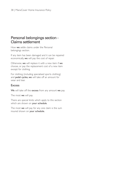### Personal belongings section - Claims settlement

How we settle claims under the Personal belongings section.

If any item has been damaged and it can be repaired economically, we will pay the cost of repair.

Otherwise, we will replace it with a new item if we choose, or pay the replacement cost of a new item except for clothing.

For clothing (including specialised sports clothing) and pedal cycles, we will take off an amount for wear and tear.

### Excess

We will take off the excess from any amount we pay.

The most we will pay.

There are special limits which apply to this section which are shown on your schedule.

The most we will pay for any one claim is the sum insured shown on your schedule.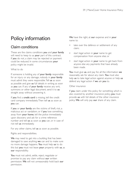# Policy information

### Claim conditions

These are the claims conditions you and your family will need to keep to as your part of this contract. If you do not, a claim may be rejected or payment could be reduced. In some circumstances your policy might be invalid.

#### What to do

If someone is holding any of your family responsible for an injury or any damage, nobody in your family must admit they were responsible.Tell us as soon as possible and give us full details in writing as soon as you can. If any of your family receive any writ, summons or other legal document, send it to us straight away without answering it.

If you find a credit card is missing, tell the credit card company immediately.Then tell us as soon as you can.

If you or your family are the victims of theft, riot, a malicious act or vandalism, or if you lose something away from your home, tell the police immediately upon discovery and ask for a crime reference number and tell us as soon as you can, or in case of riot tell us immediately.

For any other claims, tell us as soon as possible.

Rights and responsibilities.

We may need to get into a building that has been damaged to save anything we can and to make sure no more damage happens. You must help us to do this but you must not leave your property with us, as our responsibility.

You must not admit, settle, reject, negotiate or promise to pay any claim without our written permission. We will not unreasonably hold back our permission.

We have the right, at our expense and in your name to:

- take over the defence or settlement of any claim;
- start legal action in your name to get compensation from anyone else; or
- start legal action in your name to get back from anyone else any payments that have already been made.

You must give us, and pay for, all the information we reasonably ask for about any claim. You must also help us to take legal action against anyone or help us defend any legal action if we ask you to.

#### Other insurance

If you claim under this policy for something which is also covered by another insurance policy, you must provide us with full details of the other insurance policy. We will only pay our share of any claim.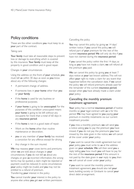### Policy conditions

These are the other conditions you must keep to as your part of the contract.

#### Taking care

Your family must take all reasonable steps to prevent loss or damage to everything which is covered by this insurance. Your family must keep all the property in good condition and in good repair.

#### Changes in your circumstances

Using the address on the front of your schedule, you must tell us within 30 days as soon as you know about any of the following changes:

- A permanent change of address.
- If someone lives in your home other than you or your family.
- If the home is used for any business or professional purposes.
- If your home is going to be unoccupied. For the purposes of this condition unoccupied means your home is going to be left without any occupants for more than a total of 60 days in any insurance period.
- If the **home** is not in a good state of repair.
- Work on the home other than routine maintenance or decoration.
- you or any member of your family has received a conviction for any offence except for driving
- Any change in the sum insured.

We may reassess your cover, terms and premiums when we are told about changes in your circumstances. If you do not tell us about any changes, or give us incorrect information, the wrong terms may be quoted, a claim might be rejected or payment could be reduced. In some circumstances your policy might be invalid, and you may not be entitled to a refund of premium. Transferring your interest in the policy

You cannot transfer your interest in the policy to anyone else unless you get our written permission.

#### Cancelling the policy

You may cancel this policy by giving us 14 days' written notice. If you cancel the policy, we will refund part of your premium for the rest of the current insurance period. We will only do this if you have not claimed during the insurance period.

If you cancel the policy within the first 14 days, as long as you have not made a claim, we will refund all the premium you paid.

We can cancel this policy by giving you at least 7 days notice at your last known address.This will not affect your right to make a claim for any event that happened before the cancellation date. If we cancel the policy we will refund premiums already paid for the remainder of the current insurance period, except when you have already made a claim under your policy.

### Cancelling the monthly premium instalment agreement

Your policy has a normal insurance period of twelve months so your legal contract with us is for this period. We may have agreed to you paying your premium in monthly instalments via our current installment provider.

If you miss a monthly premium, we will send you a notice asking you to pay the premium you have missed. If you do not pay the premiums you have missed by the date given in the notice, we will cancel all the cover under your policy.

If you want to cancel the credit agreement but not your policy, you must write to us at the address given on your schedule. We will then send you a reply telling you how much you will have to pay for the rest of the insurance period. If this amount is not paid by the date given in our reply to you, then we will cancel all cover under your policy.

If you want to cancel the monthly premium instalment agreement, you should also tell your bank, building society or Girobank to cancel your direct debit arrangement.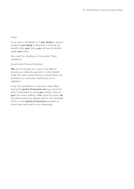#### Fraud

If any claim is fraudulent or if your family or anyone acting for your family is dishonest in claiming any benefit under your policy, you will lose all benefits under your policy.

Also read the conditions in the section 'Claim conditions'.

Government Financial Sanctions

We will not provide any cover or be liable to provide any indemnity, payment or other benefit under this policy where doing so would breach any prohibition or restriction imposed by law or regulation.

If any such prohibition or restriction takes effect during the period of insurance we may cancel this policy immediately by giving you written notice at your last known address. If we cancel the policy we will refund premiums already paid for the remainder of the current period of insurance, provided no claims have been paid or are outstanding.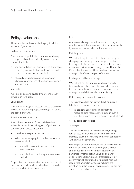### Policy exclusions

These are the exclusions which apply to all the sections of your policy.

#### Radioactive contamination

Any expense, legal liability or any loss or damage to property directly or indirectly caused by or contributed to by:

- ionising radiation or radioactive contamination from any nuclear fuel or waste which results from the burning of nuclear fuel; or
- the radioactive, toxic, explosive or other dangerous properties of nuclear machinery or any part of it.

#### War risks

Any loss or damage caused by any sort of war, invasion or revolution.

#### Sonic bangs

Any loss or damage by pressure waves caused by aircraft or other flying objects moving at or above the speed of sound.

#### Pollution or contamination

Any claim or expense of any kind directly or indirectly caused by or arising out of pollution or contamination unless caused by:

- a sudden unexpected incident, or
- oil or water escaping from a fixed oil or fixed water installation.
	- and which was not the result of an intentional act,
	- and, which occurs during any insurance period.

All pollution or contamination which arises out of one incident shall be deemed to have occurred at the time such incident takes place.

#### Rot

Any loss or damage caused by wet rot or dry rot whether or not this was caused directly or indirectly by any other risk included in this insurance.

#### Matching items

We will not pay the cost of replacing, repairing or changing any undamaged items or parts of items forming part of a set, suite, carpet or other items of a common nature, colour, design or use.This applies if the other items can still be used and the loss or damage only affects one part of the set.

Existing and deliberate damage

We will not pay for any loss or damage which happens before this cover starts or which arises from an event before cover starts, or any loss or damage caused deliberately by your family.

Date change and computer viruses

This insurance does not cover direct or indirect liability, loss or damage caused:

- to equipment by its failing correctly to recognise data representing a date in such a way that it does not work properly or at all; and
- by computer viruses.

#### Terrorism

This insurance does not cover any loss, damage, liability, cost or expense of any kind directly or indirectly caused by, resulting from or in connection with any act of terrorism.

For the purpose of this exclusion,'terrorism' means the use, or threat of use, of biological, chemical and/or nuclear force or contamination by any person(s), whether acting alone or on behalf of or in connection with any organisation(s) or government(s), committed for political, religious, ideological or similar purposes including the intention to influence any government(s) or put any section of the public in fear.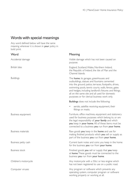### Words with special meanings

Any word defined below will have the same meaning wherever it is shown in your policy in bold print.

#### **Word** Accidental damage British Isles Buildings Business equipment Business materials Business petty cash Business stock Children's motorcycle Computer viruses Meaning Visible damage which has not been caused on purpose. England, Scotland,Wales, Northern Ireland, the Republic of Ireland, the Isle of Man and the Channel Islands. The home, its garages, greenhouses and outbuildings, statues and fountains cemented into the ground, patios, terraces, footpaths, drives, swimming pools, tennis courts, walls, fences, gates and hedges, including landlord's fixtures and fittings, all on the same site and all used for domestic purposes or for clerical business work only. Buildings does not include the following: aerials, satellite receiving equipment, their fittings or masts. Furniture, office machines, equipment and stationery used for business purposes which belong to, or are the legal responsibility of, your family and which you keep in your home. All of these items must be connected to a business you run from your home. Raw goods you keep in the home and use for making finished products which you sell or supply as part of the business you run from your home. Current bank notes and coins you keep in the home for the business you run from your home. Finished goods you sell or supply that you keep at home.These goods must be connected to the business you run from your home. Any motorcycle with a 50cc or less engine which has not been registered to use on a public road. Any program or software which prevents any operating system, computer program or software working properly or working at all.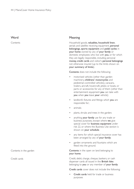#### **Word**

Contents

#### Meaning

Household goods, valuables, household linen, aerials and satellite receiving equipment, personal belongings, sports equipment and pedal cycles in your home owned by any of your family or domestic employees who live with you, or for which they are legally responsible, including personal money, credit cards and visitor's personal belongings not otherwise insured (up to the limits shown on your summary of limits).

Contents does not include the following:

- motorised vehicles (other than garden machinery, childrens' motorcycles and pedestrian-controlled vehicles), caravans, trailers, aircraft, hovercraft, jetskis or boats, or parts or accessories for any of them (other than entertainment equipment you can take with you when you leave your vehicle);
- landlord's fixtures and fittings which you are responsible for;
- animals:
- plants, shrubs and trees in the garden;
- anything your family use for any trade or business purposes, except where we give special cover for **business equipment** under risk 22, or where the Business Use section is shown on your schedule;
- any items for which special insurance cover has been arranged by any of your family;
- garden ornaments and fountains which are fitted into the ground.

Contents in the open on land belonging to your home.

Credit, debit, charge, cheque, bankers, or cash dispenser cards all issued in the British Isles belonging to you or any member of your family.

Credit cards cover does not include the following:

Credit cards held for trade or business purposes

Contents in the garden

Credit cards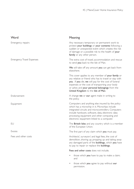| Word                             | Meaning                                                                                                                                                                                                                                                                                                        |
|----------------------------------|----------------------------------------------------------------------------------------------------------------------------------------------------------------------------------------------------------------------------------------------------------------------------------------------------------------|
| Emergency repairs                | Any necessary temporary or permanent work to<br>protect your buildings or your contents following a<br>sudden or unexpected event which creates the risk<br>of damage or a possible risk to the health of your<br>family or any other person.                                                                  |
| <b>Emergency Travel Expenses</b> | The extra cost of travel, accommodation and rescue<br>to send you back to the Isle of Man.                                                                                                                                                                                                                     |
|                                  | We will take off any amount you can get back from<br>elsewhere.                                                                                                                                                                                                                                                |
|                                  | This cover applies to any member of your family or<br>any relative or friend who has to travel or stay with<br>you . If you die, we will pay for the cost of funeral<br>expenses or the cost of transporting your body<br>or ashes and your personal belongings from the<br>United Kingdom to the Isle of Man. |
| Endorsement                      | A change we or our agent make in writing to<br>the policy.                                                                                                                                                                                                                                                     |
| Equipment                        | Computers and anything else insured by the policy<br>which has a microchip in it. Microchips include<br>integrated circuits and microcontrollers. Computers<br>include hardware, software, data, electronic data<br>processing equipment and other computing and<br>electronic equipment linked to a computer. |
| EU                               | The British Isles and any country which is a member<br>of the European Union.                                                                                                                                                                                                                                  |
| Excess                           | The first part of any claim which you must pay.                                                                                                                                                                                                                                                                |
| Fees and other costs             | Architects', surveyors' and legal fees, the cost of<br>demolition, shoring up, propping up and taking away<br>any damaged parts of the <b>buildings</b> , which you have<br>to pay to repair or replace the buildings.                                                                                         |
|                                  | Fees and other costs does not include;                                                                                                                                                                                                                                                                         |
|                                  | those which you have to pay to make a claim;<br>and                                                                                                                                                                                                                                                            |

• those which you agree to pay without our permission.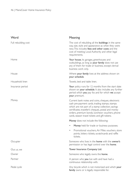| Word                 | Meaning                                                                                                                                                                                                                                                                                                             |
|----------------------|---------------------------------------------------------------------------------------------------------------------------------------------------------------------------------------------------------------------------------------------------------------------------------------------------------------------|
| Full rebuilding cost | The cost of rebuilding all the <b>buildings</b> in the same<br>way, size, style and appearance as when they were<br>new. This includes fees and other costs and the<br>cost of meeting Local Authority and other legal<br>requirements.                                                                             |
| Home                 | Your house, its garages, greenhouses and<br>outbuildings, as long as your family does not use<br>any of them for trade or business, except clerical<br>business work only.                                                                                                                                          |
| House                | Where your family lives at the address shown on<br>your schedule.                                                                                                                                                                                                                                                   |
| Household linen      | Towels, bed and table linen.                                                                                                                                                                                                                                                                                        |
| Insurance period     | Your policy runs for 12 months from the start date<br>shown on your schedule. It also includes any further<br>period which you pay for, and for which we accept<br>your premium.                                                                                                                                    |
| Money                | Current bank notes and coins, cheques, electronic<br>cash pre-payment cards, trading stamps, stamps<br>which are not part of a stamp collection, savings<br>certificates, traveller's cheques, postal and money<br>orders, premium bonds, luncheon vouchers, phone<br>cards, season travel tickets and gift tokens. |
|                      | <b>Money</b> does not include the following:                                                                                                                                                                                                                                                                        |
|                      | Money held for trade or business purposes;                                                                                                                                                                                                                                                                          |
|                      | Promotional vouchers, Air Miles vouchers, store<br>points, lottery tickets, scratchcards and raffle<br>tickets.                                                                                                                                                                                                     |
| Occupier             | Someone who lives in the <b>home</b> with the <b>owner's</b><br>permission or has legal control over the <b>home</b> .                                                                                                                                                                                              |
| Our, us, we          | Tower Insurance Company Ltd.                                                                                                                                                                                                                                                                                        |
| Owner                | Someone who legally owns the <b>home</b> .                                                                                                                                                                                                                                                                          |
| Partner              | A person who you live with and have had a<br>continuous relationship with.                                                                                                                                                                                                                                          |
| Pedal cycle          | Any bicycle which is not motorised and which your<br>family owns or is legally responsible for.                                                                                                                                                                                                                     |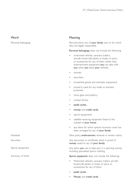### **Word**

Personal belongings

### Meaning

Personal items any of your family own or for which they are legally responsible.

Personal belongings does not include the following:

- motorised vehicles, caravans, trailers, aircraft, hovercraft, jetskis or boats, or parts or accessories for any of them (other than entertainment equipment you can take with you when you leave your vehicle);
- animals:
- securities;
- household goods and domestic equipment;
- property used for any trade or business purposes;
- china, glass and pottery;
- contact lenses;
- pedal cycles;
- money and credit cards:
- sports equipment;
- satellite-receiving equipment fixed to the outside of your home;
- any items for which special insurance cover has been arranged by any of your family.

New policy, endorsement, renewal or review notice.

Any document or certificate which is proof of money owed to any of your family.

Any items you use to take part in a sporting activity including specialised sports clothing.

Sports equipment does not include the following:

- Motorised vehicles, caravans, trailers, aircraft, hovercraft, jetskis or boats, or parts or accessories for any of them.
- pedal cycles.
- Money and credit cards.

Schedule

Securities

Sports equipment

Summary of limits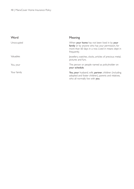| Word        | Meaning                                                                                                                                                                |
|-------------|------------------------------------------------------------------------------------------------------------------------------------------------------------------------|
| Unoccupied  | When your home has not been lived in by your<br>family or by anyone who has your permission, for<br>more than 60 days in a row. Lived in means slept in<br>frequently. |
| Valuables   | lewellery, watches, clocks, articles of precious metal,<br>pictures and furs.                                                                                          |
| You, your   | The person or people named as policyholder on<br>your schedule.                                                                                                        |
| Your family | You, your husband, wife, partner, children (including<br>adopted and foster children), parents and relatives,<br>who all normally live with you.                       |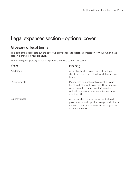# Legal expenses section - optional cover

### Glossary of legal terms

This part of the policy sets out the cover we provide for legal expenses protection for your family, if this section is shown on your schedule.

The following is a glossary of some legal terms we have used in this section.

| Word                 | Meaning                                                                                                                                                                                                             |
|----------------------|---------------------------------------------------------------------------------------------------------------------------------------------------------------------------------------------------------------------|
| Arbitration          | A meeting held in private to settle a dispute<br>about the policy. This is less formal than a court<br>hearing.                                                                                                     |
| <b>Disbursements</b> | Money that your solicitor has spent on your<br>behalf in dealing with your case. These amounts<br>are different from your solicitor's own fees<br>and will be shown as a separate item on your<br>solicitor's bill. |
| Expert witness       | A person who has a special skill or technical or<br>professional knowledge (for example, a doctor or<br>a surveyor) and whose opinion can be given as<br>evidence in court.                                         |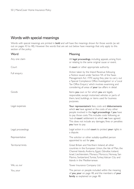### Words with special meanings

Words with special meanings are printed in **bold** and will have the meanings shown for those words (as set out on pages 43 to 48). However the words that are set out below have meanings that only apply to this section of the policy.

| Word               | Meaning                                                                                                                                                                                                                                                                                                                                                  |
|--------------------|----------------------------------------------------------------------------------------------------------------------------------------------------------------------------------------------------------------------------------------------------------------------------------------------------------------------------------------------------------|
| Any one claim      | All legal proceedings, including appeals, arising from<br>or relating to the same original cause or event.                                                                                                                                                                                                                                               |
| Court              | A court or other appropriate authority.                                                                                                                                                                                                                                                                                                                  |
| Full enquiry       | Action taken by the Inland Revenue following<br>a Notice issued under Section 9A of the Taxes<br>Management Act 1970 saying they plan to carry out<br>a 'Special Compliance Office Investigation' or a 'Local<br>Tax Office Enquiry' which involves examining and<br>considering all areas of your tax affairs in detail.                                |
| Goods              | Items you own or for which you are legally<br>responsible, except motorised vehicles or parts of<br>them, land, buildings, or items used for business<br>purposes.                                                                                                                                                                                       |
| Legal expenses     | Your representative's fees, costs and disbursements<br>which we have agreed or the costs of any other<br>people involved in the legal proceedings if you have<br>to pay those costs. This includes costs following an<br>'out-of-court' settlement to which we have agreed.<br>This does not include any damages, fines or penalties<br>you have to pay. |
| Legal proceedings  | Legal action in a civil court to protect your rights in<br>a dispute.                                                                                                                                                                                                                                                                                    |
| Representative     | The solicitor or other suitably-qualified person<br>appointed to act for you.                                                                                                                                                                                                                                                                            |
| Territorial limits | Great Britain and Northern Ireland, all other<br>countries in the European Union, the Isle of Man, the<br>Channel Islands, Andorra, Egypt, Gibraltar, Iceland,<br>Israel, Liechtenstein, Monaco, Morocco, Norway, San<br>Marino, Switzerland, Tunisia, Turkey, Vatican City and<br>Islands in the Mediterranean.                                         |
| We, us, our        | Tower Insurance Company Ltd.                                                                                                                                                                                                                                                                                                                             |
| You, your          | The person or people included within the meaning<br>of you, your on page 48, and the members of your<br>family as explained on page 48.                                                                                                                                                                                                                  |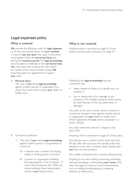### Legal expenses policy

### What is covered

We provide the following cover for legal expenses up to the sum insured shown on your schedule in total for any one claim.The cause of the action must happen within the territorial limits and during the insurance period.The legal proceedings must be taken or defended in the territorial limits. You must have told us about the claim within six months of the cause of action arising. We must have given our agreement to support your claim.

#### A Personal injury

The cost of you taking legal proceedings against another person or organisation as a result of an event which causes your death, or bodily injury.

#### B Consumer protection

- 1) The cost of your taking legal proceedings against another person or organisation as a result of:
	- A) a dispute over a contract for buying, selling or renting goods or services;
	- B) a person or organisation breaking the requirements of Part II, section 13 of the Data Protection Act 1998; and where breaking those requirements results in your losing money.

### What is not covered

Anything which is excluded on page 55 of this section and the policy exclusions on page 42.

Defending civil legal proceedings that are connected with:

- death, disease or illness of or bodily injury to anyone; or
- loss or destruction of, or damage to any property. (This includes property which cannot be used because of the loss, destruction or damage).

Any claim to do with a motor vehicle, its parts or accessories (except a claim against another person or organisation for **your** death or bodily injury which happened while you were a passenger in a motor vehicle).

Any claim where the amount in dispute is less than  $f$ 750

Anything which is excluded on page 55 of this policy.

Any dispute over a contract which arises less than 90 days after the insurance first started, unless the dispute is to do with a contract which started after you took out the insurance.

Any matter connected with a money-making activity.

Anything to do with building, converting, extending, altering, renovating or demolishing your home. (This does not apply to common home-improvements such as installing double-glazing or replacing kitchens or bathrooms.)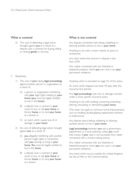2) The cost of defending a legal action brought against you as a result of a dispute over a contract for buying, selling or renting goods or services.

#### C Residential

- 1) The cost of your taking legal proceedings against another person or organisation as a result of:
	- A) a person or organisation interfering with your legal rights relating to your home, (you must be legally entitled to live in the home);
	- B) a dispute over a contract in your name to buy or sell your home or former home or to rent your home as a tenant; or
	- C) an event which causes loss of or damage to your home.
- 2) the cost of defending legal action brought against you as a result of:
	- A) you allegedly interfering with another person's legal rights in connection with you owning or living in your home. You must be legally entitled to live in the home.
	- B) a dispute over a contract in your name to buy or sell your home or former home or to rent your home as a tenant.

### What is not covered

Any dispute connected with letting, subletting, or allowing another person to live in your home.

Anything to do with a motor vehicle, its parts or accessories.

Any claim where the amount in dispute is less than £250.

Any matter connected with any freehold or leasehold property which you own and is not your permanent residence.

Anything which is excluded on page 55 of this policy.

An event which happens less than 90 days after the insurance first started.

Any legal proceedings over loss or damage covered under a more specific insurance policy.

Anything to do with building, converting, extending, altering, renovating or demolishing your home.

(This does not apply to common home-improvements such as installing double-glazing, replacement kitchens or bathrooms).

Any dispute about letting, subletting or allowing another person to live in your home.

Legal proceedings between you and a government department or a local authority, unless you could lose money if your case is not successful. Any matter connected with a money-making activity.

Any matter connected with any freehold or leasehold property which you own and is not your permanent residence.

Any event which occurs outside the United Kingdom, the Isle of Man or the Channel Islands.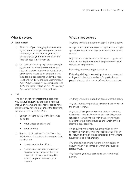#### D Employment

- 1) The cost of you taking legal proceedings against your employer over your contract of employment. As soon as you knew of the dispute, you must have taken and followed legal advice from us.
- 2) the cost of defending legal action brought against you in the territorial limits as a result of a prosecution which results from your normal duties as an employee.This includes civil proceedings under the Race Relations Act 1976, the Sex Discrimination Act 1986, the Disability Discrimination Act 1995, the Data Protection Act 1998, or any Acts which replace or change these.

#### E Tax

The cost of your representative acting for you in a full enquiry by the Inland Revenue into your income and records to decide how much tax you have to pay under the following sections of the Taxes Act 1988.

- 1) Section 19, Schedule E of the Taxes Act 1988 on:
	- your wages or salary; and
	- your pension.
- 2) Section 18, Schedule D of the Taxes Act 1988 where it relates to income you have received on:
	- investments in the UK; and
	- investments overseas; in securities listed on a recognised national or international stock exchange.This cannot be your main source of income.

### What is not covered

Anything which is excluded on page 55 of this policy.

A dispute with your employer or legal action brought against you less than 90 days after the insurance first started.

Any matter connected with a money-making activity other than a dispute with your employer over your contract of employment.

Defending any motoring prosecutions.

Defending civil legal proceedings that are connected with your duties as a member of a profession or your duties as a director or officer of any company.

Anything which is excluded on page 55 of this policy.

Any tax, interest or penalties you may have to pay to the Inland Revenue.

Any case where you or your tax advisor have not taken every reasonable care to act according to tax legislation. Anything to do with a tax return which you sent to the Inland Revenue and which arrived after the legal deadline.

An enquiry by the Inland Revenue which is only concerned with one or more specific areas of your tax return and which is not considered by the Inland Revenue to be a full enquiry.

Any change in an Inland Revenue investigation or enquiry when it becomes clear that they suspect serious fraud.

Any income you have earned as a self-employed person.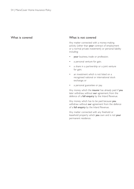#### What is covered What is not covered

Any matter connected with a money-making activity (other than your contract of employment or a normal private investment) or personal liability including:

- your business, trade or profession;
- a personal venture for gain;
- a share in a partnership or a joint venture for gain;
- an investment which is not listed on a recognised national or international stock exchange; or
- a personal guarantee or pay.

Any money which the insurer has already paid if you later withdraw, without our agreement, from the defence of a full enquiry by the Inland Revenue.

Any money which has to be paid because you withdraw without our agreement from the defence of a full enquiry by the Inland Revenue.

Any matter connected with any freehold or leasehold property which you own and is not your permanent residence.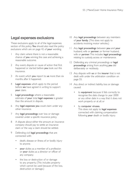### Legal expenses exclusions

These exclusions apply to all of the legal expenses section of this policy. You should also read the policy exclusions which are on page 42 of your wording.

- Any claim where there is not a reasonable chance of you winning the case and achieving a reasonable outcome.
- 2 Any event, dispute or cause of action that first happened or started before you took out this insurance.
- 3 An event which you report to us more than six months after it happened.
- Legal expenses which apply to the period before we have agreed in writing to support your claim.
- Legal proceedings where a reasonable estimate of your total legal expenses is greater than the amount in dispute.
- 6 Any legal expenses you could claim under any other insurance.
- 7 Any legal proceedings over loss or damage covered under a specific insurance policy.
- 8 A dispute about either the amount an insurance company should pay to settle an insurance claim or the way a claim should be settled.
- Defending civil legal proceedings that are connected with:
	- death, disease or illness of or bodily injury to anyone;
	- your duties as a member of a profession or your duties as a director or officer of any company;
	- the loss or destruction of or damage to any property. (This includes property which cannot be used because of the loss, destruction or damage.)
- 10 Any legal proceedings between any members of your family. (This does not apply to accidents involving motor vehicles.)
- 11 Any legal proceedings between you and your husband, wife or partner, or former husband, wife or partner.This includes legal proceedings relating to custody, access or maintenance.
- 12 Defending any criminal proceedings or legal proceedings arising from anything you did deliberately or recklessly.
- 13 Any dispute with us or the insurer that is not dealt with under the arbitration condition on page 55.
- 14 Any direct or indirect liability, loss or damage caused:
	- to equipment because it fails correctly to recognise the date change to year 2000 or any other date in a way that it does not work properly or at all; or
	- by computer viruses. This does not apply to legal expenses connected with claiming compensation following your death or bodily injury.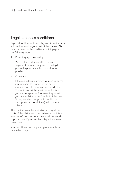### Legal expenses conditions

Pages 40 to 41 set out the policy conditions that you will need to meet as your part of this contract. You must also keep to the conditions on this page and the following pages.

1 Preventing legal proceedings

You must take all reasonable measures to prevent or avoid being involved in legal proceedings and keep the cost as low as possible.

2 Arbitration

If there is a dispute between you and us or the insurer about this section of the policy, it can be taken to an independent arbitrator. The arbitrator will be a solicitor or barrister you and we agree to. If we cannot agree with you on an arbitrator, the President of the Law Society (or similar organisation within the appropriate territorial limits) will choose an arbitrator.

The side that loses the arbitration will pay all the costs of the arbitration. If the decision is not totally in favour of one side, the arbitrator will decide who pays the costs. If you lose, the policy will not cover these costs.

You can still use the complaints procedure shown on the back page.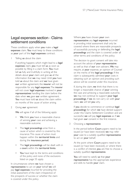### Legal expenses section - Claims settlement conditions

These conditions apply when you make a legal expenses claim. You must keep to these conditions as your part of the legal expenses contract.

Telling us about the claim

If anything happens which might lead to a legal expenses claim, you must tell us as soon as possible by filling in a claim form. You must tell us fully and truthfully in writing all the details about your claim and give us all the information that we may need. Until you have told us about the claim and we have given our written agreement, the insurer will not be responsible for any legal expenses.The insurer will not cover legal expenses involved in your representatives handling the claim before the date when we gave our written agreement. You must have told us about the claim within six months of the cause of action arising.

2 Giving our agreement

We will agree if all of the following apply:

- We think you have a reasonable chance of winning your case and achieving a reasonable outcome.
- The legal proceedings arise from a cause of action which is covered by this insurance.This cause of action must happen within the territorial limits and during the insurance period.
- The legal proceedings will be dealt with in a court within the territorial limits.
- You have kept to the terms and conditions of the policy and none of the exclusions listed on page 55 apply.

In circumstances where we have chosen a representative to act on your behalf we will pay legal expenses incurred for providing the initial assessment of the claim irrespective of the prospects of success or whether the claim is covered under this policy.

Where you have chosen your own representative any legal expenses incurred in providing initial assessment shall only be covered where there are reasonable prospects of successfully pursuing or defending the legal proceedings and the claim is covered under all other terms and conditions of the policy.

The decision to grant consent will take into account the advice of your representative as well as that of our own advisers. We may require, at your expense, an opinion of Counsel on the merits of the legal proceedings. If the claim is subsequently admitted your costs in obtaining such an opinion and providing such advice will be covered under this insurance.

If, during the claim, we think that there is no longer a reasonable chance of your winning the case and achieving a reasonable outcome, we may not continue to support your legal proceedings. If we do not carry on with your claim, we will tell you why.

If you decide to commence or continue legal proceedings for which we have denied support under this Claims Settlement Condition and are successful, we will pay legal expenses as if we had given our consent in the first instance.

3 Choosing a representative

In the period before Court papers need to be issued (or have been received) we may refer your case to a suitably qualified representative to act on your behalf.

At the point where **Court** papers need to be issued (or have been received), or where there is a conflict of interest, you are free to choose a suitably qualified representative.

You will need to satisfy us that your representative has the appropriate experience and skills to handle your claim.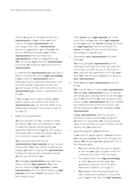Where we agree to the appointment of a representative of your choice you must confirm that your representative will not charge more than a representative chosen or suggested by us, or that you will pay any difference between your chosen representative's fees and those of a representative chosen or suggested by us. We will not pay your choice of representative more than we would pay our own choice of representative.

In selecting the representative you shall have a duty to minimise the cost of legal proceedings. If your choice of representative has to undertake work to familiarise themselves with the work already undertaken on the case, we will not pay for this work to be done. Any representative you choose is appointed to act for you.

If we and you cannot agree whether court papers need to be issued or the choice of representative, you can take the matter to an independent arbitrator.This process is set out on page 55

Rights and responsibilities

You must tell us if an offer is made to settle the dispute. You must not negotiate or agree to settle the dispute without getting our agreement beforehand. If you do not accept a reasonable offer to settle the dispute, we may not continue to support your claim.

#### You must send us all bills for the

representative's legal expenses as soon as you receive them. You must confirm to us that any charges you have to pay for the representative handling this dispute are acceptable and that we may pay the bill for you.

You and your representative must take every step to recover legal expenses. You must pay any recovered legal expenses to your representative who must then refund any legal expenses which the insurer has paid or has been asked to pay.

If the insurer pays legal expenses up to the policy limit and you pay more legal expenses to end your case, the insurer and you will share any legal expenses that are recovered.The insurer and you will each receive the same percentage as originally paid.

Information your representative will need from you.

You must give your representative all the information and help he or she may need.This will include a truthful account of the facts of your case and any paperwork to do with your case. You owe the same obligations to us as to your representative.

What you and your representative must do for us.

We must be able to contact your representative. You and your representative must co-operate and tell us about developments to do with your case. If we ask for this, we must be able to have access to your representative's files.This includes the truthful account of the facts of your case and any paperwork you have supplied to your representative.

If your representative wants to consult a barrister or expert witness, we will agree if we think it is reasonable. You must give us the name of the barrister or expert witness, and the reasons why you need one.

Appealing against a court's decision

If you want to appeal against a court's decision, you must give us your reasons for bringing the appeal. We will give you our agreement if all of the following apply.

- You must tell us that you want to appeal as soon as your right of appeal arises. This is because strict time limits may apply.
- The appeal arises from legal proceedings to which we have already given our agreement under the terms of claims settlement condition 2 on page 57.
- Your appeal meets the requirements of claims settlement condition 2 in the same way as your initial claim for legal expenses.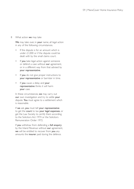#### 8 What action we may take

We may take over, in your name, all legal action in any of the following circumstances.

- If the dispute is for an amount which is under £1,000 or if the dispute could be dealt with by the small claims court.
- If you take legal action against someone or defend a case without our agreement, or in a different way from that advised by your representative.
- If you do not give proper instructions to your representative or barrister in time.
- If you cause a delay and your representative thinks it will harm your case.

In these circumstances, we may carry out our own investigation and try to settle your dispute. You must agree to a settlement which is reasonable.

If we ask, you must tell your representative to get the court to tax your legal expenses, or get the Law Society to certify them according to the Solicitors Act 1974 or the Solicitors Remuneration Order 1972.

If you withdraw from defending a full enquiry by the Inland Revenue without our agreement, we will be entitled to recover from you any amounts the insurer paid during the defence.